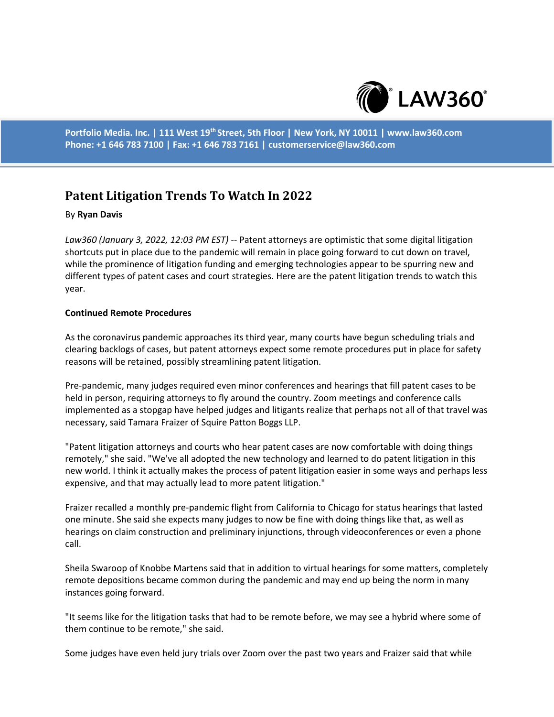

**Portfolio Media. Inc. | 111 West 19th Street, 5th Floor | New York, NY 10011 | www.law360.com Phone: +1 646 783 7100 | Fax: +1 646 783 7161 | customerservice@law360.com**

# **Patent Litigation Trends To Watch In 2022**

### By **Ryan Davis**

*Law360 (January 3, 2022, 12:03 PM EST)* -- Patent attorneys are optimistic that some digital litigation shortcuts put in place due to the pandemic will remain in place going forward to cut down on travel, while the prominence of litigation funding and emerging technologies appear to be spurring new and different types of patent cases and court strategies. Here are the patent litigation trends to watch this year.

### **Continued Remote Procedures**

As the coronavirus pandemic approaches its third year, many courts have begun scheduling trials and clearing backlogs of cases, but patent attorneys expect some remote procedures put in place for safety reasons will be retained, possibly streamlining patent litigation.

Pre-pandemic, many judges required even minor conferences and hearings that fill patent cases to be held in person, requiring attorneys to fly around the country. Zoom meetings and conference calls implemented as a stopgap have helped judges and litigants realize that perhaps not all of that travel was necessary, said Tamara Fraizer of Squire Patton Boggs LLP.

"Patent litigation attorneys and courts who hear patent cases are now comfortable with doing things remotely," she said. "We've all adopted the new technology and learned to do patent litigation in this new world. I think it actually makes the process of patent litigation easier in some ways and perhaps less expensive, and that may actually lead to more patent litigation."

Fraizer recalled a monthly pre-pandemic flight from California to Chicago for status hearings that lasted one minute. She said she expects many judges to now be fine with doing things like that, as well as hearings on claim construction and preliminary injunctions, through videoconferences or even a phone call.

Sheila Swaroop of Knobbe Martens said that in addition to virtual hearings for some matters, completely remote depositions became common during the pandemic and may end up being the norm in many instances going forward.

"It seems like for the litigation tasks that had to be remote before, we may see a hybrid where some of them continue to be remote," she said.

Some judges have even held jury trials over Zoom over the past two years and Fraizer said that while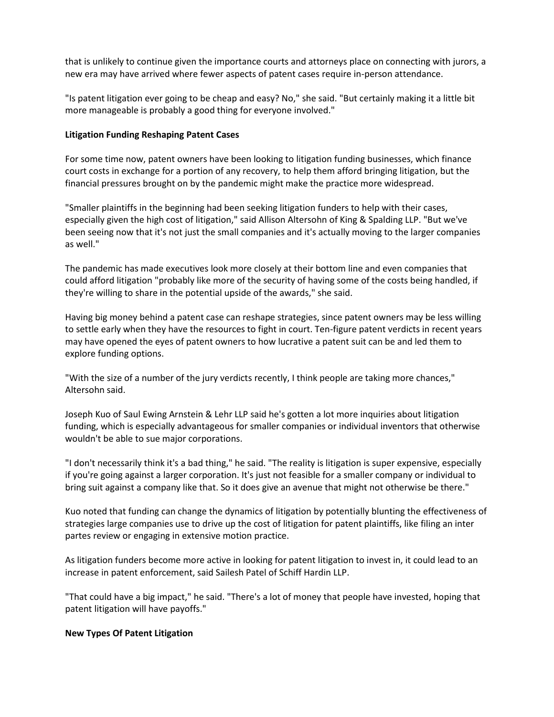that is unlikely to continue given the importance courts and attorneys place on connecting with jurors, a new era may have arrived where fewer aspects of patent cases require in-person attendance.

"Is patent litigation ever going to be cheap and easy? No," she said. "But certainly making it a little bit more manageable is probably a good thing for everyone involved."

### **Litigation Funding Reshaping Patent Cases**

For some time now, patent owners have been looking to litigation funding businesses, which finance court costs in exchange for a portion of any recovery, to help them afford bringing litigation, but the financial pressures brought on by the pandemic might make the practice more widespread.

"Smaller plaintiffs in the beginning had been seeking litigation funders to help with their cases, especially given the high cost of litigation," said Allison Altersohn of King & Spalding LLP. "But we've been seeing now that it's not just the small companies and it's actually moving to the larger companies as well."

The pandemic has made executives look more closely at their bottom line and even companies that could afford litigation "probably like more of the security of having some of the costs being handled, if they're willing to share in the potential upside of the awards," she said.

Having big money behind a patent case can reshape strategies, since patent owners may be less willing to settle early when they have the resources to fight in court. Ten-figure patent verdicts in recent years may have opened the eyes of patent owners to how lucrative a patent suit can be and led them to explore funding options.

"With the size of a number of the jury verdicts recently, I think people are taking more chances," Altersohn said.

Joseph Kuo of Saul Ewing Arnstein & Lehr LLP said he's gotten a lot more inquiries about litigation funding, which is especially advantageous for smaller companies or individual inventors that otherwise wouldn't be able to sue major corporations.

"I don't necessarily think it's a bad thing," he said. "The reality is litigation is super expensive, especially if you're going against a larger corporation. It's just not feasible for a smaller company or individual to bring suit against a company like that. So it does give an avenue that might not otherwise be there."

Kuo noted that funding can change the dynamics of litigation by potentially blunting the effectiveness of strategies large companies use to drive up the cost of litigation for patent plaintiffs, like filing an inter partes review or engaging in extensive motion practice.

As litigation funders become more active in looking for patent litigation to invest in, it could lead to an increase in patent enforcement, said Sailesh Patel of Schiff Hardin LLP.

"That could have a big impact," he said. "There's a lot of money that people have invested, hoping that patent litigation will have payoffs."

#### **New Types Of Patent Litigation**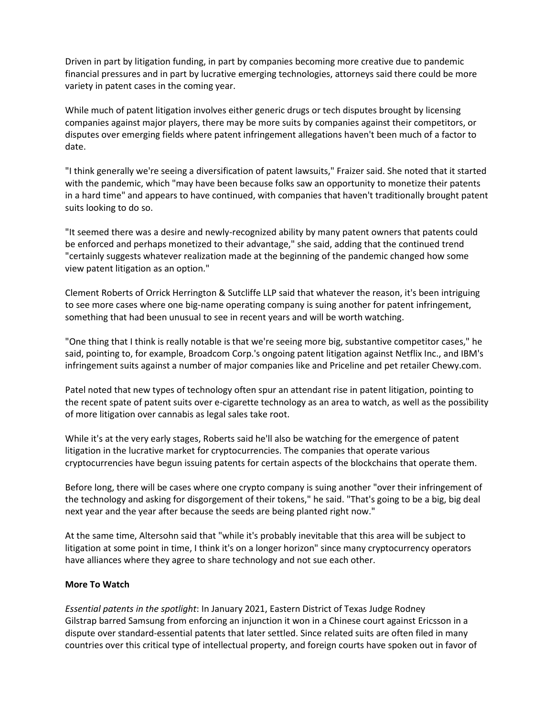Driven in part by litigation funding, in part by companies becoming more creative due to pandemic financial pressures and in part by lucrative emerging technologies, attorneys said there could be more variety in patent cases in the coming year.

While much of patent litigation involves either generic drugs or tech disputes brought by licensing companies against major players, there may be more suits by companies against their competitors, or disputes over emerging fields where patent infringement allegations haven't been much of a factor to date.

"I think generally we're seeing a diversification of patent lawsuits," Fraizer said. She noted that it started with the pandemic, which "may have been because folks saw an opportunity to monetize their patents in a hard time" and appears to have continued, with companies that haven't traditionally brought patent suits looking to do so.

"It seemed there was a desire and newly-recognized ability by many patent owners that patents could be enforced and perhaps monetized to their advantage," she said, adding that the continued trend "certainly suggests whatever realization made at the beginning of the pandemic changed how some view patent litigation as an option."

Clement Roberts of Orrick Herrington & Sutcliffe LLP said that whatever the reason, it's been intriguing to see more cases where one big-name operating company is suing another for patent infringement, something that had been unusual to see in recent years and will be worth watching.

"One thing that I think is really notable is that we're seeing more big, substantive competitor cases," he said, pointing to, for example, Broadcom Corp.'s ongoing patent litigation against Netflix Inc., and IBM's infringement suits against a number of major companies like and Priceline and pet retailer Chewy.com.

Patel noted that new types of technology often spur an attendant rise in patent litigation, pointing to the recent spate of patent suits over e-cigarette technology as an area to watch, as well as the possibility of more litigation over cannabis as legal sales take root.

While it's at the very early stages, Roberts said he'll also be watching for the emergence of patent litigation in the lucrative market for cryptocurrencies. The companies that operate various cryptocurrencies have begun issuing patents for certain aspects of the blockchains that operate them.

Before long, there will be cases where one crypto company is suing another "over their infringement of the technology and asking for disgorgement of their tokens," he said. "That's going to be a big, big deal next year and the year after because the seeds are being planted right now."

At the same time, Altersohn said that "while it's probably inevitable that this area will be subject to litigation at some point in time, I think it's on a longer horizon" since many cryptocurrency operators have alliances where they agree to share technology and not sue each other.

## **More To Watch**

*Essential patents in the spotlight*: In January 2021, Eastern District of Texas Judge Rodney Gilstrap barred Samsung from enforcing an injunction it won in a Chinese court against Ericsson in a dispute over standard-essential patents that later settled. Since related suits are often filed in many countries over this critical type of intellectual property, and foreign courts have spoken out in favor of